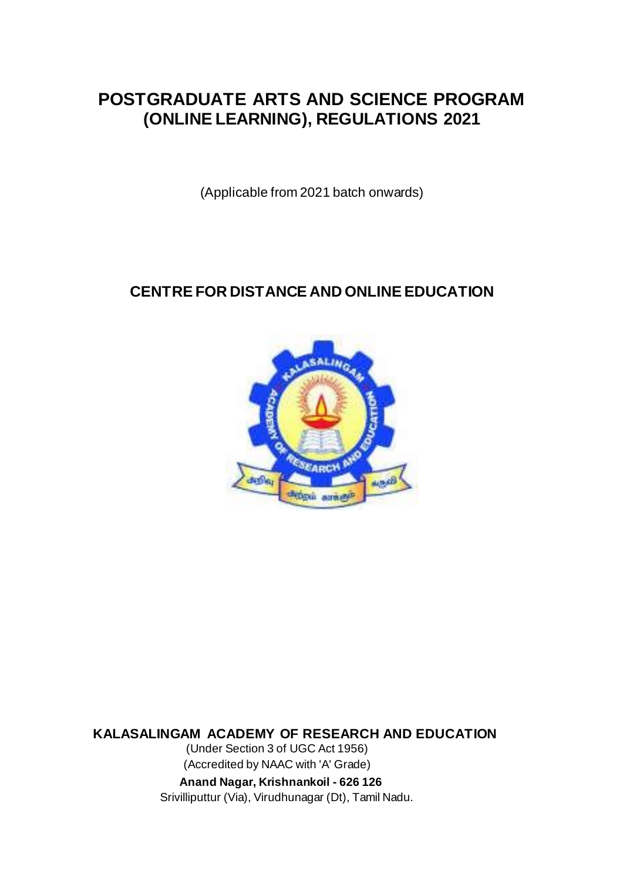# **POSTGRADUATE ARTS AND SCIENCE PROGRAM (ONLINE LEARNING), REGULATIONS 2021**

(Applicable from 2021 batch onwards)

# **CENTRE FOR DISTANCE AND ONLINE EDUCATION**



**KALASALINGAM ACADEMY OF RESEARCH AND EDUCATION**

(Under Section 3 of UGC Act 1956) (Accredited by NAAC with 'A' Grade)

 **Anand Nagar, Krishnankoil - 626 126**

Srivilliputtur (Via), Virudhunagar (Dt), Tamil Nadu.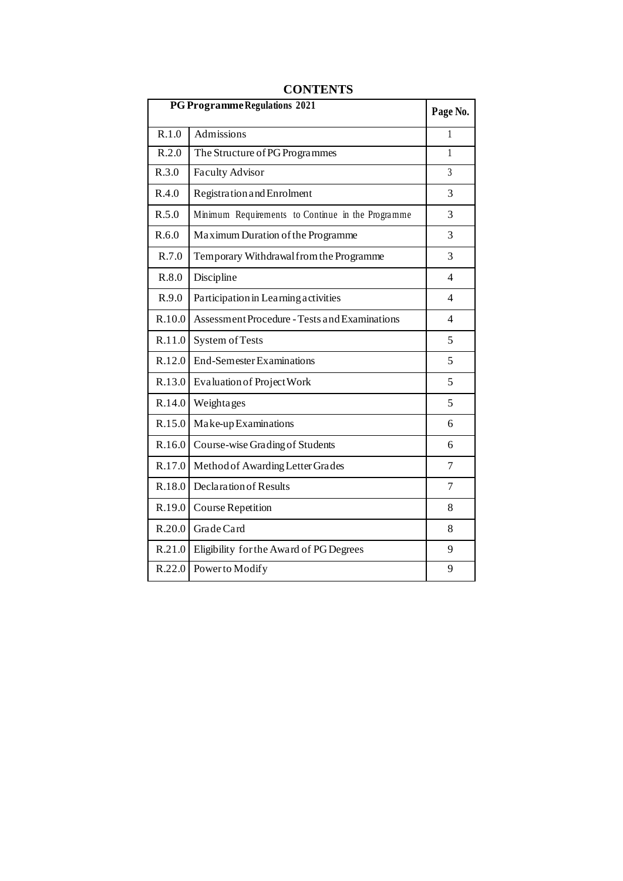| PG Programme Regulations 2021 |                                                   |                |
|-------------------------------|---------------------------------------------------|----------------|
| R.1.0                         | Admissions                                        | 1              |
| R.2.0                         | The Structure of PG Programmes                    | 1              |
| R.3.0                         | <b>Faculty Advisor</b>                            | $\overline{3}$ |
| R.4.0                         | Registration and Enrolment                        | 3              |
| R.5.0                         | Minimum Requirements to Continue in the Programme | 3              |
| R.6.0                         | Maximum Duration of the Programme                 | 3              |
| R.7.0                         | Temporary Withdrawal from the Programme           | 3              |
| R.8.0                         | Discipline                                        | 4              |
| R.9.0                         | Participation in Learning activities              | 4              |
| R.10.0                        | Assessment Procedure - Tests and Examinations     | 4              |
| R.11.0                        | System of Tests                                   | 5              |
| R.12.0                        | End-Semester Examinations                         | 5              |
| R.13.0                        | Evaluation of Project Work                        | 5              |
| R.14.0                        | Weighta ges                                       | 5              |
| R.15.0                        | Make-up Examinations                              | 6              |
|                               | R.16.0 Course-wise Grading of Students            | 6              |
| R.17.0                        | Method of Awarding Letter Grades                  | 7              |
| R.18.0                        | Declaration of Results                            | 7              |
| R.19.0                        | <b>Course Repetition</b>                          | 8              |
| R.20.0                        | Grade Card                                        | 8              |
| R.21.0                        | Eligibility for the Award of PG Degrees           | 9              |
|                               | R.22.0 Power to Modify                            | 9              |

## **CONTENTS**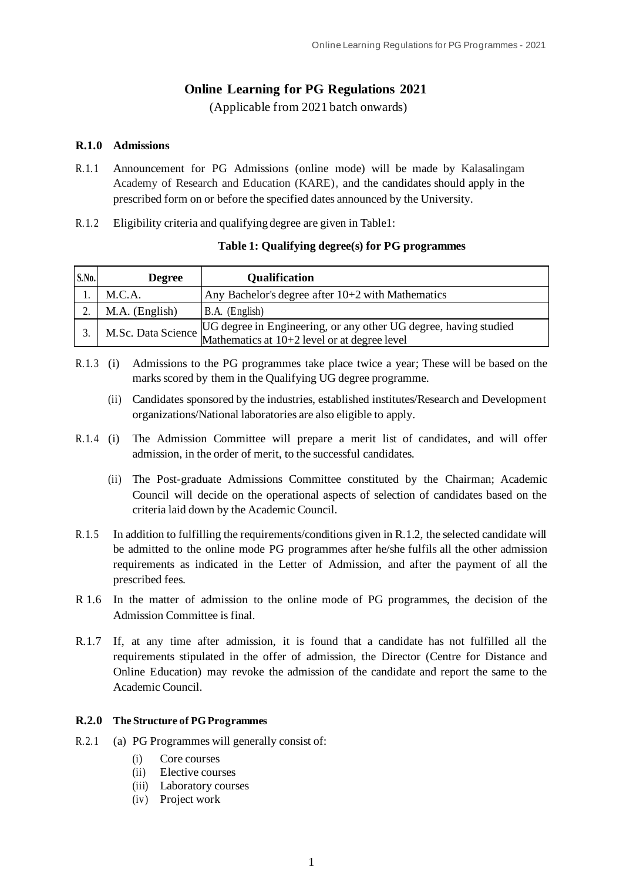## **Online Learning for PG Regulations 2021**

(Applicable from 2021 batch onwards)

## **R.1.0 Admissions**

- R.1.1 Announcement for PG Admissions (online mode) will be made by Kalasalingam Academy of Research and Education (KARE), and the candidates should apply in the prescribed form on or before the specified dates announced by the University.
- R.1.2 Eligibility criteria and qualifying degree are given in Table1:

| <b>S.No.</b> | <b>Degree</b>  | <b>Qualification</b>                                                                                                                                |
|--------------|----------------|-----------------------------------------------------------------------------------------------------------------------------------------------------|
|              | M.C.A.         | Any Bachelor's degree after 10+2 with Mathematics                                                                                                   |
|              | M.A. (English) | B.A. (English)                                                                                                                                      |
|              |                | M.Sc. Data Science $\begin{array}{c}$ UG degree in Engineering, or any other UG degree, having studied Mathematics at 10+2 level or at degree level |

## **Table 1: Qualifying degree(s) for PG programmes**

- R.1.3 (i) Admissions to the PG programmes take place twice a year; These will be based on the marks scored by them in the Qualifying UG degree programme.
	- (ii) Candidates sponsored by the industries, established institutes/Research and Development organizations/National laboratories are also eligible to apply.
- R.1.4 (i) The Admission Committee will prepare a merit list of candidates, and will offer admission, in the order of merit, to the successful candidates.
	- (ii) The Post-graduate Admissions Committee constituted by the Chairman; Academic Council will decide on the operational aspects of selection of candidates based on the criteria laid down by the Academic Council.
- R.1.5 In addition to fulfilling the requirements/conditions given in R.1.2, the selected candidate will be admitted to the online mode PG programmes after he/she fulfils all the other admission requirements as indicated in the Letter of Admission, and after the payment of all the prescribed fees.
- R 1.6 In the matter of admission to the online mode of PG programmes, the decision of the Admission Committee is final.
- R.1.7 If, at any time after admission, it is found that a candidate has not fulfilled all the requirements stipulated in the offer of admission, the Director (Centre for Distance and Online Education) may revoke the admission of the candidate and report the same to the Academic Council.

#### **R.2.0 The Structure of PG Programmes**

- R.2.1 (a) PG Programmes will generally consist of:
	- (i) Core courses
	- (ii) Elective courses
	- (iii) Laboratory courses
	- (iv) Project work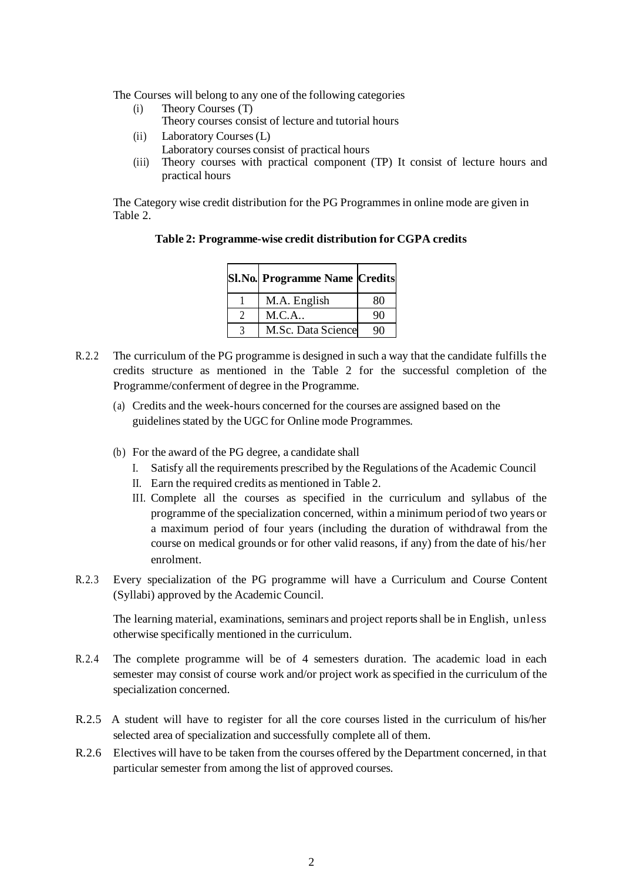The Courses will belong to any one of the following categories

- (i) Theory Courses (T) Theory courses consist of lecture and tutorial hours
- (ii) Laboratory Courses (L)
	- Laboratory courses consist of practical hours
- (iii) Theory courses with practical component (TP) It consist of lecture hours and practical hours

The Category wise credit distribution for the PG Programmesin online mode are given in Table 2.

| <b>Sl.No. Programme Name Credits</b> |    |
|--------------------------------------|----|
| M.A. English                         | 80 |
| M.C.A                                | 90 |
| M.Sc. Data Science                   | q∩ |

## **Table 2: Programme-wise credit distribution for CGPA credits**

- R.2.2 The curriculum of the PG programme is designed in such a way that the candidate fulfills the credits structure as mentioned in the Table 2 for the successful completion of the Programme/conferment of degree in the Programme.
	- (a) Credits and the week-hours concerned for the courses are assigned based on the guidelines stated by the UGC for Online mode Programmes.
	- (b) For the award of the PG degree, a candidate shall
		- I. Satisfy all the requirements prescribed by the Regulations of the Academic Council
		- II. Earn the required credits as mentioned in Table 2.
		- III. Complete all the courses as specified in the curriculum and syllabus of the programme of the specialization concerned, within a minimum period of two years or a maximum period of four years (including the duration of withdrawal from the course on medical grounds or for other valid reasons, if any) from the date of his/her enrolment.
- R.2.3 Every specialization of the PG programme will have a Curriculum and Course Content (Syllabi) approved by the Academic Council.

The learning material, examinations, seminars and project reports shall be in English, unless otherwise specifically mentioned in the curriculum.

- R.2.4 The complete programme will be of 4 semesters duration. The academic load in each semester may consist of course work and/or project work as specified in the curriculum of the specialization concerned.
- R.2.5 A student will have to register for all the core courses listed in the curriculum of his/her selected area of specialization and successfully complete all of them.
- R.2.6 Electives will have to be taken from the courses offered by the Department concerned, in that particular semester from among the list of approved courses.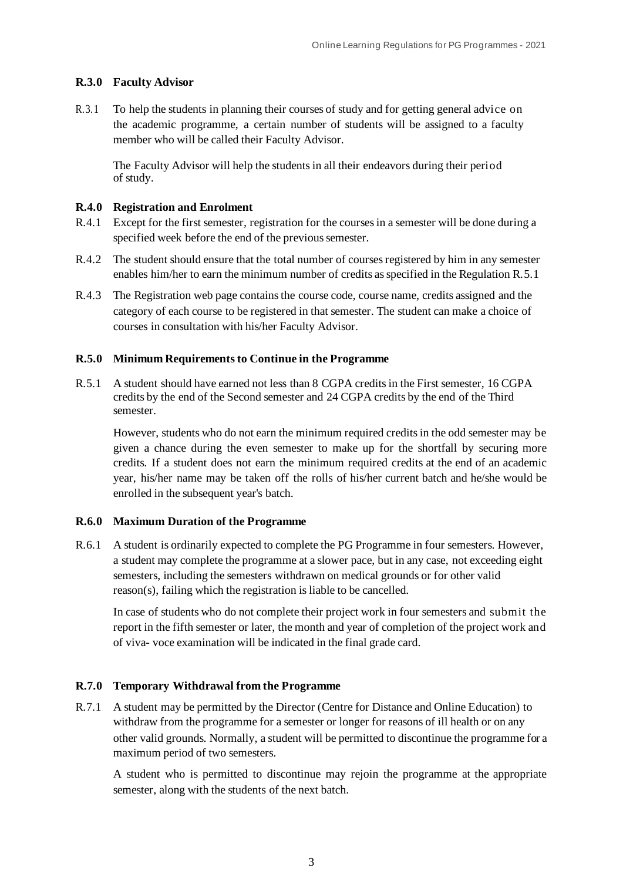## **R.3.0 Faculty Advisor**

R.3.1 To help the students in planning their courses of study and for getting general advice on the academic programme, a certain number of students will be assigned to a faculty member who will be called their Faculty Advisor.

The Faculty Advisor will help the students in all their endeavors during their period of study.

#### **R.4.0 Registration and Enrolment**

- R.4.1 Except for the first semester, registration for the courses in a semester will be done during a specified week before the end of the previous semester.
- R.4.2 The student should ensure that the total number of courses registered by him in any semester enables him/her to earn the minimum number of credits as specified in the Regulation R.5.1
- R.4.3 The Registration web page contains the course code, course name, credits assigned and the category of each course to be registered in that semester. The student can make a choice of courses in consultation with his/her Faculty Advisor.

#### **R.5.0 Minimum Requirements to Continue in the Programme**

R.5.1 A student should have earned not less than 8 CGPA credits in the First semester, 16 CGPA credits by the end of the Second semester and 24 CGPA credits by the end of the Third semester.

However, students who do not earn the minimum required credits in the odd semester may be given a chance during the even semester to make up for the shortfall by securing more credits. If a student does not earn the minimum required credits at the end of an academic year, his/her name may be taken off the rolls of his/her current batch and he/she would be enrolled in the subsequent year's batch.

#### **R.6.0 Maximum Duration of the Programme**

R.6.1 A student is ordinarily expected to complete the PG Programme in four semesters. However, a student may complete the programme at a slower pace, but in any case, not exceeding eight semesters, including the semesters withdrawn on medical grounds or for other valid reason(s), failing which the registration is liable to be cancelled.

In case of students who do not complete their project work in four semesters and submit the report in the fifth semester or later, the month and year of completion of the project work and of viva- voce examination will be indicated in the final grade card.

#### **R.7.0 Temporary Withdrawal from the Programme**

R.7.1 A student may be permitted by the Director (Centre for Distance and Online Education) to withdraw from the programme for a semester or longer for reasons of ill health or on any other valid grounds. Normally, a student will be permitted to discontinue the programme for a maximum period of two semesters.

A student who is permitted to discontinue may rejoin the programme at the appropriate semester, along with the students of the next batch.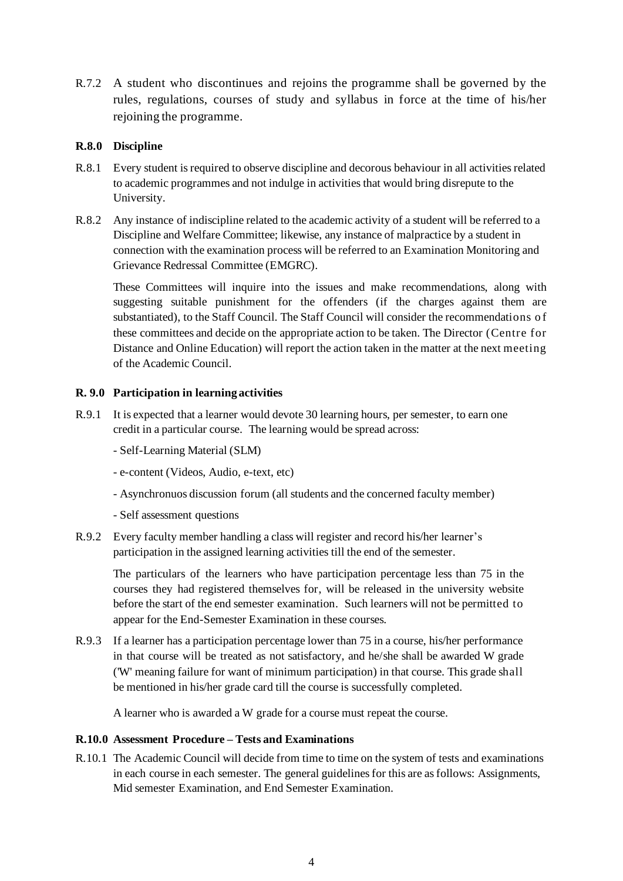R.7.2 A student who discontinues and rejoins the programme shall be governed by the rules, regulations, courses of study and syllabus in force at the time of his/her rejoining the programme.

## **R.8.0 Discipline**

- R.8.1 Every student is required to observe discipline and decorous behaviour in all activities related to academic programmes and not indulge in activitiesthat would bring disrepute to the University.
- R.8.2 Any instance of indiscipline related to the academic activity of a student will be referred to a Discipline and Welfare Committee; likewise, any instance of malpractice by a student in connection with the examination process will be referred to an Examination Monitoring and Grievance Redressal Committee (EMGRC).

These Committees will inquire into the issues and make recommendations, along with suggesting suitable punishment for the offenders (if the charges against them are substantiated), to the Staff Council. The Staff Council will consider the recommendations of these committees and decide on the appropriate action to be taken. The Director (Centre for Distance and Online Education) will report the action taken in the matter at the next meeting of the Academic Council.

#### **R. 9.0 Participation in learning activities**

- R.9.1 It is expected that a learner would devote 30 learning hours, per semester, to earn one credit in a particular course. The learning would be spread across:
	- Self-Learning Material (SLM)
	- e-content (Videos, Audio, e-text, etc)
	- Asynchronuos discussion forum (all students and the concerned faculty member)
	- Self assessment questions
- R.9.2 Every faculty member handling a class will register and record his/her learner's participation in the assigned learning activities till the end of the semester.

The particulars of the learners who have participation percentage less than 75 in the courses they had registered themselves for, will be released in the university website before the start of the end semester examination. Such learners will not be permitted to appear for the End-Semester Examination in these courses.

R.9.3 If a learner has a participation percentage lower than 75 in a course, his/her performance in that course will be treated as not satisfactory, and he/she shall be awarded W grade ('W' meaning failure for want of minimum participation) in that course. This grade shall be mentioned in his/her grade card till the course is successfully completed.

A learner who is awarded a W grade for a course must repeat the course.

#### **R.10.0 Assessment Procedure – Tests and Examinations**

R.10.1 The Academic Council will decide from time to time on the system of tests and examinations in each course in each semester. The general guidelines for this are as follows: Assignments, Mid semester Examination, and End Semester Examination.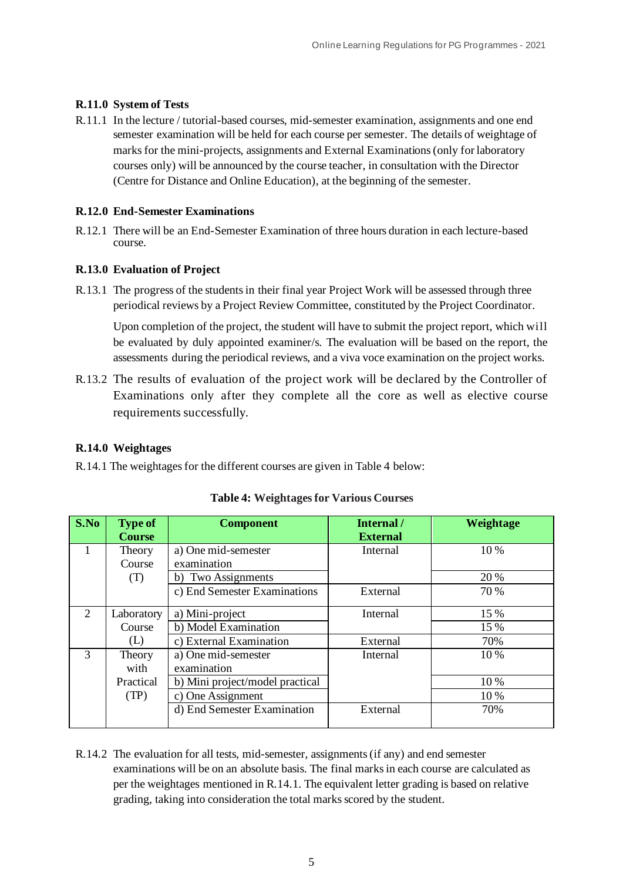## **R.11.0 System of Tests**

R.11.1 In the lecture / tutorial-based courses, mid-semester examination, assignments and one end semester examination will be held for each course per semester. The details of weightage of marks for the mini-projects, assignments and External Examinations (only for laboratory courses only) will be announced by the course teacher, in consultation with the Director (Centre for Distance and Online Education), at the beginning of the semester.

#### **R.12.0 End-Semester Examinations**

R.12.1 There will be an End-Semester Examination of three hours duration in each lecture-based course.

## **R.13.0 Evaluation of Project**

R.13.1 The progress of the students in their final year Project Work will be assessed through three periodical reviews by a Project Review Committee, constituted by the Project Coordinator.

Upon completion of the project, the student will have to submit the project report, which will be evaluated by duly appointed examiner/s. The evaluation will be based on the report, the assessments during the periodical reviews, and a viva voce examination on the project works.

R.13.2 The results of evaluation of the project work will be declared by the Controller of Examinations only after they complete all the core as well as elective course requirements successfully.

## **R.14.0 Weightages**

R.14.1 The weightages for the different courses are given in Table 4 below:

| S.No                        | <b>Type of</b><br><b>Course</b> | <b>Component</b>                | Internal /<br><b>External</b> | Weightage |
|-----------------------------|---------------------------------|---------------------------------|-------------------------------|-----------|
|                             | Theory                          | a) One mid-semester             | Internal                      | 10 %      |
|                             | Course                          | examination                     |                               |           |
|                             | b) Two Assignments<br>(T)       |                                 |                               | 20 %      |
|                             |                                 | c) End Semester Examinations    | External                      | 70 %      |
| $\mathcal{D}_{\mathcal{L}}$ | Laboratory                      | a) Mini-project                 | Internal                      | 15 %      |
|                             | Course                          | b) Model Examination            |                               | 15 %      |
|                             | (L)                             | c) External Examination         | External                      | 70%       |
| 3                           | a) One mid-semester<br>Theory   |                                 | Internal                      | 10 %      |
|                             | with                            | examination                     |                               |           |
|                             | Practical                       | b) Mini project/model practical |                               | 10%       |
| (TP)                        |                                 | c) One Assignment               |                               | 10 %      |
|                             |                                 | d) End Semester Examination     | External                      | 70%       |

**Table 4: Weightages for Various Courses**

R.14.2 The evaluation for all tests, mid-semester, assignments (if any) and end semester examinations will be on an absolute basis. The final marks in each course are calculated as per the weightages mentioned in R.14.1. The equivalent letter grading is based on relative grading, taking into consideration the total marks scored by the student.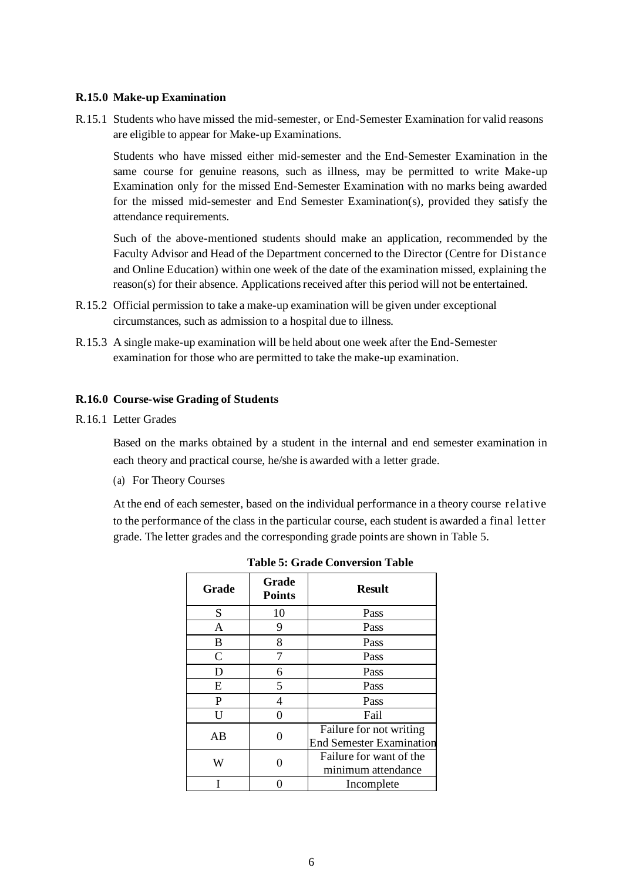#### **R.15.0 Make-up Examination**

R.15.1 Students who have missed the mid-semester, or End-Semester Examination for valid reasons are eligible to appear for Make-up Examinations.

Students who have missed either mid-semester and the End-Semester Examination in the same course for genuine reasons, such as illness, may be permitted to write Make-up Examination only for the missed End-Semester Examination with no marks being awarded for the missed mid-semester and End Semester Examination(s), provided they satisfy the attendance requirements.

Such of the above-mentioned students should make an application, recommended by the Faculty Advisor and Head of the Department concerned to the Director (Centre for Distance and Online Education) within one week of the date of the examination missed, explaining the reason(s) for their absence. Applications received after this period will not be entertained.

- R.15.2 Official permission to take a make-up examination will be given under exceptional circumstances, such as admission to a hospital due to illness.
- R.15.3 A single make-up examination will be held about one week after the End-Semester examination for those who are permitted to take the make-up examination.

#### **R.16.0 Course-wise Grading of Students**

R.16.1 Letter Grades

Based on the marks obtained by a student in the internal and end semester examination in each theory and practical course, he/she is awarded with a letter grade.

(a) For Theory Courses

At the end of each semester, based on the individual performance in a theory course relative to the performance of the class in the particular course, each student is awarded a final letter grade. The letter grades and the corresponding grade points are shown in Table 5.

| Grade        | <b>Grade</b><br><b>Points</b> | <b>Result</b>                                              |
|--------------|-------------------------------|------------------------------------------------------------|
| S            | 10                            | Pass                                                       |
| $\mathbf{A}$ | 9                             | Pass                                                       |
| B            | 8                             | Pass                                                       |
| C            | 7                             | Pass                                                       |
| D            | 6                             | Pass                                                       |
| E            | 5                             | Pass                                                       |
| P            | 4                             | Pass                                                       |
| U            |                               | Fail                                                       |
| AB           |                               | Failure for not writing<br><b>End Semester Examination</b> |
| W            |                               | Failure for want of the<br>minimum attendance              |
|              |                               | Incomplete                                                 |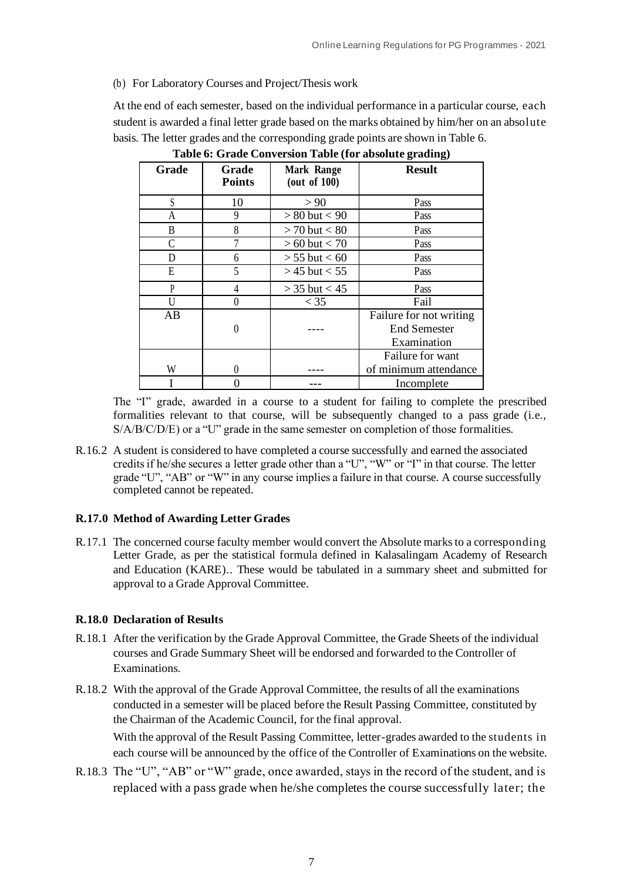## (b) For Laboratory Courses and Project/Thesis work

At the end of each semester, based on the individual performance in a particular course, each student is awarded a final letter grade based on the marks obtained by him/her on an absolute basis. The letter grades and the corresponding grade points are shown in Table 6.

| <b>Grade</b> | Grade<br><b>Points</b> | <b>Mark Range</b><br>(out of $100$ ) | <b>Result</b>           |
|--------------|------------------------|--------------------------------------|-------------------------|
| S            | 10                     | > 90                                 | Pass                    |
| A            | 9                      | $> 80$ but $< 90$                    | Pass                    |
| B            | 8                      | $> 70$ but $< 80$                    | Pass                    |
| C            |                        | $> 60$ but $< 70$                    | Pass                    |
| D            | 6                      | $> 55$ but $< 60$                    | Pass                    |
| Е            | 5                      | $>$ 45 but $<$ 55                    | Pass                    |
| P            | 4                      | $>$ 35 but $<$ 45                    | Pass                    |
| H            |                        | $<$ 35                               | Fail                    |
| AB           |                        |                                      | Failure for not writing |
|              |                        |                                      | <b>End Semester</b>     |
|              |                        |                                      | Examination             |
|              |                        |                                      | Failure for want        |
| W            |                        |                                      | of minimum attendance   |
|              |                        |                                      | Incomplete              |

**Table 6: Grade Conversion Table (for absolute grading)**

The "I" grade, awarded in a course to a student for failing to complete the prescribed formalities relevant to that course, will be subsequently changed to a pass grade (i.e., S/A/B/C/D/E) or a "U" grade in the same semester on completion of those formalities.

R.16.2 A student is considered to have completed a course successfully and earned the associated credits if he/she secures a letter grade other than a "U", "W" or "I" in that course. The letter grade "U", "AB" or "W" in any course implies a failure in that course. A course successfully completed cannot be repeated.

## **R.17.0 Method of Awarding Letter Grades**

R.17.1 The concerned course faculty member would convert the Absolute marks to a corresponding Letter Grade, as per the statistical formula defined in Kalasalingam Academy of Research and Education (KARE).. These would be tabulated in a summary sheet and submitted for approval to a Grade Approval Committee.

#### **R.18.0 Declaration of Results**

- R.18.1 After the verification by the Grade Approval Committee, the Grade Sheets of the individual courses and Grade Summary Sheet will be endorsed and forwarded to the Controller of Examinations.
- R.18.2 With the approval of the Grade Approval Committee, the results of all the examinations conducted in a semester will be placed before the Result Passing Committee, constituted by the Chairman of the Academic Council, for the final approval.

With the approval of the Result Passing Committee, letter-grades awarded to the students in each course will be announced by the office of the Controller of Examinations on the website.

R.18.3 The "U", "AB" or "W" grade, once awarded, stays in the record of the student, and is replaced with a pass grade when he/she completes the course successfully later; the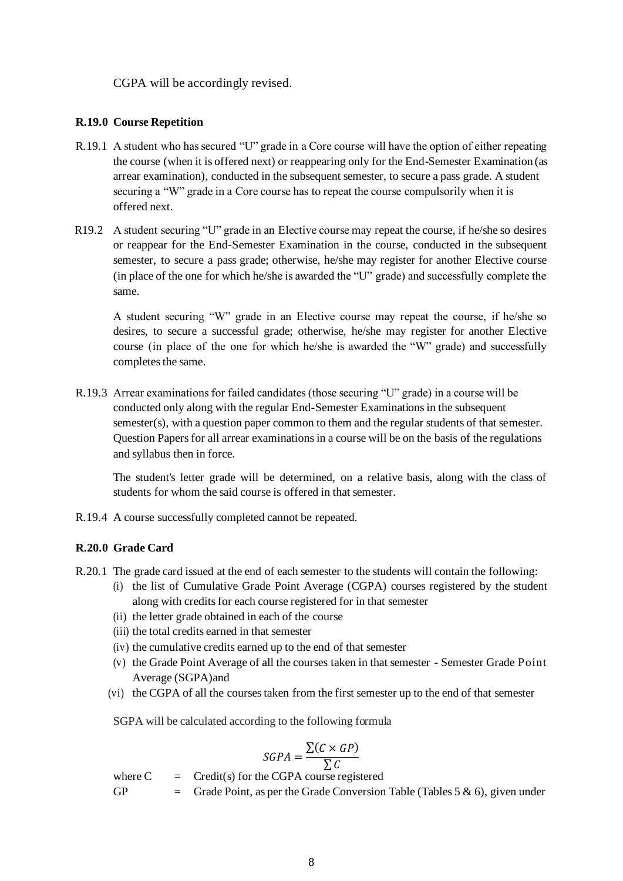CGPA will be accordingly revised.

## **R.19.0 Course Repetition**

- R.19.1 A student who has secured "U" grade in a Core course will have the option of either repeating the course (when it is offered next) or reappearing only for the End-Semester Examination (as arrear examination), conducted in the subsequent semester, to secure a pass grade. A student securing a "W" grade in a Core course has to repeat the course compulsorily when it is offered next.
- R19.2 A student securing "U" grade in an Elective course may repeat the course, if he/she so desires or reappear for the End-Semester Examination in the course, conducted in the subsequent semester, to secure a pass grade; otherwise, he/she may register for another Elective course (in place of the one for which he/she is awarded the "U" grade) and successfully complete the same.

A student securing "W" grade in an Elective course may repeat the course, if he/she so desires, to secure a successful grade; otherwise, he/she may register for another Elective course (in place of the one for which he/she is awarded the "W" grade) and successfully completes the same.

R.19.3 Arrear examinations for failed candidates (those securing "U" grade) in a course will be conducted only along with the regular End-Semester Examinations in the subsequent semester(s), with a question paper common to them and the regular students of that semester. Question Papers for all arrear examinations in a course will be on the basis of the regulations and syllabus then in force.

The student's letter grade will be determined, on a relative basis, along with the class of students for whom the said course is offered in that semester.

R.19.4 A course successfully completed cannot be repeated.

## **R.20.0 Grade Card**

- R.20.1 The grade card issued at the end of each semester to the students will contain the following:
	- (i) the list of Cumulative Grade Point Average (CGPA) courses registered by the student along with credits for each course registered for in that semester
	- (ii) the letter grade obtained in each of the course
	- (iii) the total credits earned in that semester
	- (iv) the cumulative credits earned up to the end of that semester
	- (v) the Grade Point Average of all the courses taken in that semester Semester Grade Point Average (SGPA)and
	- (vi) the CGPA of all the courses taken from the first semester up to the end of that semester

SGPA will be calculated according to the following formula

$$
SGPA = \frac{\sum (C \times GP)}{\sum C}
$$

where  $C = C$  = Credit(s) for the CGPA course registered

GP  $=$  Grade Point, as per the Grade Conversion Table (Tables 5 & 6), given under